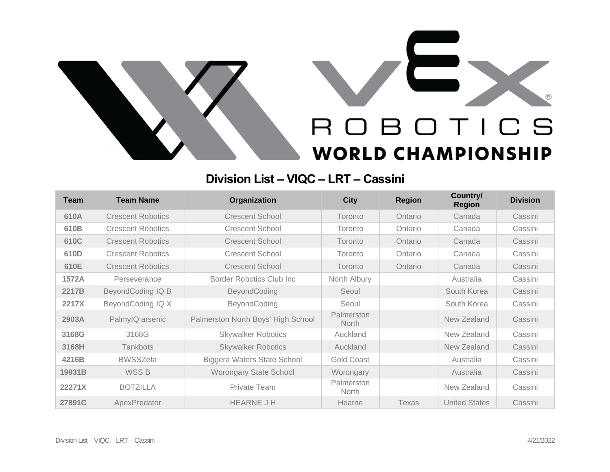

## **Division List – VIQC – LRT – Cassini**

| <b>Team</b> | <b>Team Name</b>         | Organization                       | <b>City</b>                | <b>Region</b> | Country/<br><b>Region</b> | <b>Division</b> |
|-------------|--------------------------|------------------------------------|----------------------------|---------------|---------------------------|-----------------|
| 610A        | <b>Crescent Robotics</b> | <b>Crescent School</b>             | Toronto                    | Ontario       | Canada                    | Cassini         |
| 610B        | <b>Crescent Robotics</b> | <b>Crescent School</b>             | Toronto                    | Ontario       | Canada                    | Cassini         |
| 610C        | <b>Crescent Robotics</b> | <b>Crescent School</b>             | Toronto                    | Ontario       | Canada                    | Cassini         |
| 610D        | <b>Crescent Robotics</b> | <b>Crescent School</b>             | Toronto                    | Ontario       | Canada                    | Cassini         |
| 610E        | <b>Crescent Robotics</b> | <b>Crescent School</b>             | Toronto                    | Ontario       | Canada                    | Cassini         |
| 1572A       | Perseverance             | Border Robotics Club Inc           | North Albury               |               | Australia                 | Cassini         |
| 2217B       | BeyondCoding IQ B        | BeyondCoding                       | Seoul                      |               | South Korea               | Cassini         |
| 2217X       | BeyondCoding IQ X        | BeyondCoding                       | Seoul                      |               | South Korea               | Cassini         |
| 2903A       | PalmyIQ arsenic          | Palmerston North Boys' High School | Palmerston<br><b>North</b> |               | New Zealand               | Cassini         |
| 3168G       | 3168G                    | <b>Skywalker Robotics</b>          | Auckland                   |               | New Zealand               | Cassini         |
| 3168H       | <b>Tankbots</b>          | <b>Skywalker Robotics</b>          | Auckland                   |               | New Zealand               | Cassini         |
| 4216B       | <b>BWSSZeta</b>          | <b>Biggera Waters State School</b> | <b>Gold Coast</b>          |               | Australia                 | Cassini         |
| 19931B      | WSS B                    | <b>Worongary State School</b>      | Worongary                  |               | Australia                 | Cassini         |
| 22271X      | <b>BOTZILLA</b>          | Private Team                       | Palmerston<br><b>North</b> |               | New Zealand               | Cassini         |
| 27891C      | ApexPredator             | <b>HEARNE J H</b>                  | Hearne                     | Texas         | <b>United States</b>      | Cassini         |